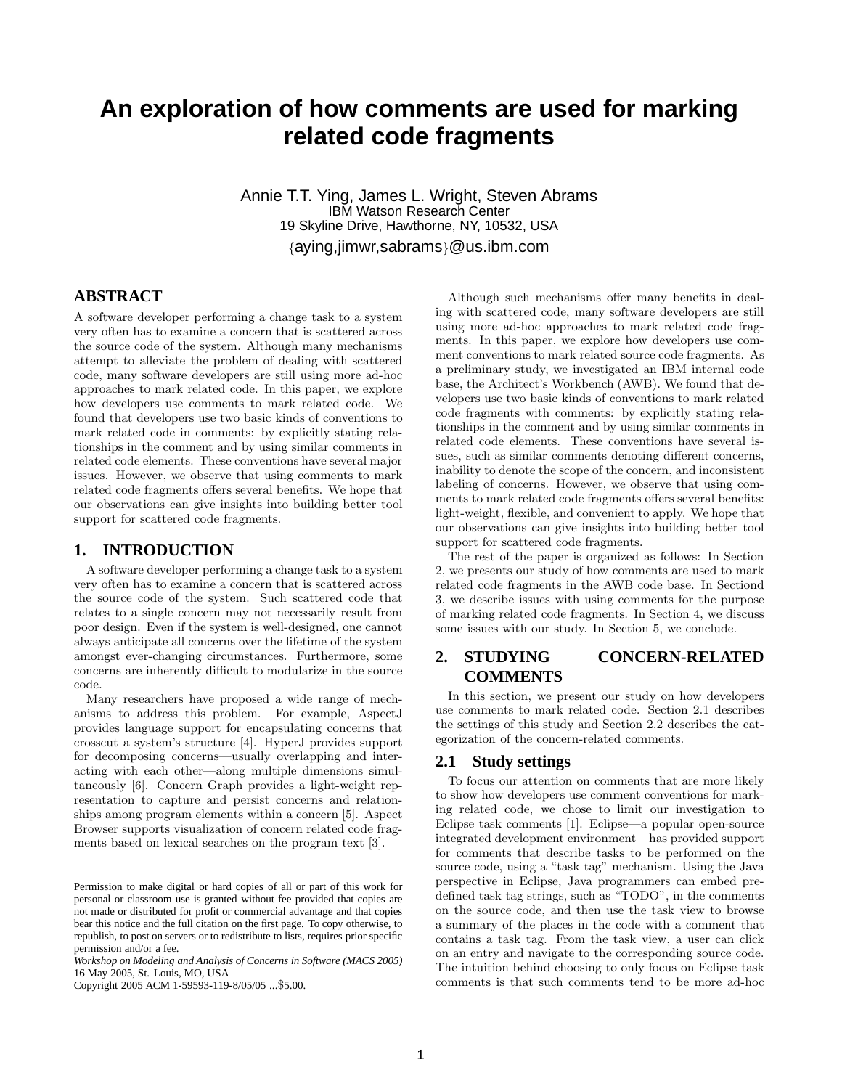# **An exploration of how comments are used for marking related code fragments**

Annie T.T. Ying, James L. Wright, Steven Abrams IBM Watson Research Center 19 Skyline Drive, Hawthorne, NY, 10532, USA {aying,jimwr,sabrams}@us.ibm.com

## **ABSTRACT**

A software developer performing a change task to a system very often has to examine a concern that is scattered across the source code of the system. Although many mechanisms attempt to alleviate the problem of dealing with scattered code, many software developers are still using more ad-hoc approaches to mark related code. In this paper, we explore how developers use comments to mark related code. We found that developers use two basic kinds of conventions to mark related code in comments: by explicitly stating relationships in the comment and by using similar comments in related code elements. These conventions have several major issues. However, we observe that using comments to mark related code fragments offers several benefits. We hope that our observations can give insights into building better tool support for scattered code fragments.

### **1. INTRODUCTION**

A software developer performing a change task to a system very often has to examine a concern that is scattered across the source code of the system. Such scattered code that relates to a single concern may not necessarily result from poor design. Even if the system is well-designed, one cannot always anticipate all concerns over the lifetime of the system amongst ever-changing circumstances. Furthermore, some concerns are inherently difficult to modularize in the source code.

Many researchers have proposed a wide range of mechanisms to address this problem. For example, AspectJ provides language support for encapsulating concerns that crosscut a system's structure [4]. HyperJ provides support for decomposing concerns—usually overlapping and interacting with each other—along multiple dimensions simultaneously [6]. Concern Graph provides a light-weight representation to capture and persist concerns and relationships among program elements within a concern [5]. Aspect Browser supports visualization of concern related code fragments based on lexical searches on the program text [3].

*Workshop on Modeling and Analysis of Concerns in Software (MACS 2005)* 16 May 2005, St. Louis, MO, USA

Copyright 2005 ACM 1-59593-119-8/05/05 ...\$5.00.

Although such mechanisms offer many benefits in dealing with scattered code, many software developers are still using more ad-hoc approaches to mark related code fragments. In this paper, we explore how developers use comment conventions to mark related source code fragments. As a preliminary study, we investigated an IBM internal code base, the Architect's Workbench (AWB). We found that developers use two basic kinds of conventions to mark related code fragments with comments: by explicitly stating relationships in the comment and by using similar comments in related code elements. These conventions have several issues, such as similar comments denoting different concerns, inability to denote the scope of the concern, and inconsistent labeling of concerns. However, we observe that using comments to mark related code fragments offers several benefits: light-weight, flexible, and convenient to apply. We hope that our observations can give insights into building better tool support for scattered code fragments.

The rest of the paper is organized as follows: In Section 2, we presents our study of how comments are used to mark related code fragments in the AWB code base. In Sectiond 3, we describe issues with using comments for the purpose of marking related code fragments. In Section 4, we discuss some issues with our study. In Section 5, we conclude.

# **2. STUDYING CONCERN-RELATED COMMENTS**

In this section, we present our study on how developers use comments to mark related code. Section 2.1 describes the settings of this study and Section 2.2 describes the categorization of the concern-related comments.

## **2.1 Study settings**

To focus our attention on comments that are more likely to show how developers use comment conventions for marking related code, we chose to limit our investigation to Eclipse task comments [1]. Eclipse—a popular open-source integrated development environment—has provided support for comments that describe tasks to be performed on the source code, using a "task tag" mechanism. Using the Java perspective in Eclipse, Java programmers can embed predefined task tag strings, such as "TODO", in the comments on the source code, and then use the task view to browse a summary of the places in the code with a comment that contains a task tag. From the task view, a user can click on an entry and navigate to the corresponding source code. The intuition behind choosing to only focus on Eclipse task comments is that such comments tend to be more ad-hoc

Permission to make digital or hard copies of all or part of this work for personal or classroom use is granted without fee provided that copies are not made or distributed for profit or commercial advantage and that copies bear this notice and the full citation on the first page. To copy otherwise, to republish, to post on servers or to redistribute to lists, requires prior specific permission and/or a fee.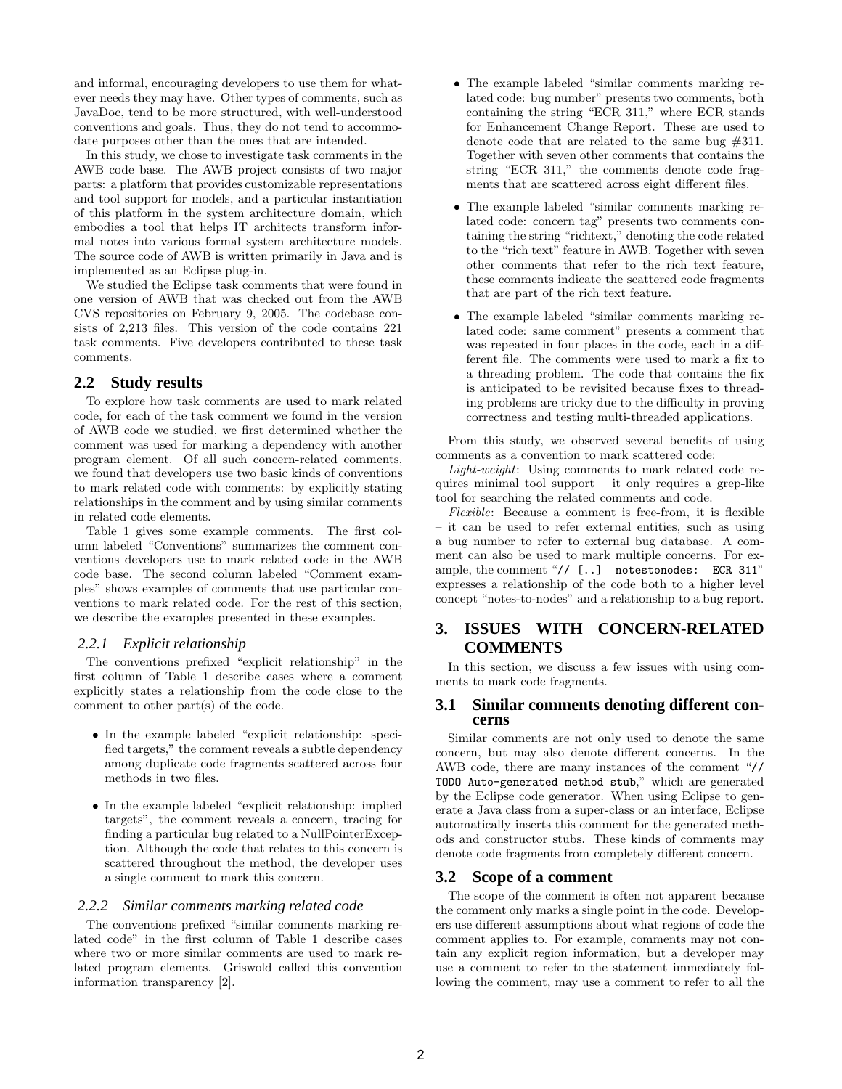and informal, encouraging developers to use them for whatever needs they may have. Other types of comments, such as JavaDoc, tend to be more structured, with well-understood conventions and goals. Thus, they do not tend to accommodate purposes other than the ones that are intended.

In this study, we chose to investigate task comments in the AWB code base. The AWB project consists of two major parts: a platform that provides customizable representations and tool support for models, and a particular instantiation of this platform in the system architecture domain, which embodies a tool that helps IT architects transform informal notes into various formal system architecture models. The source code of AWB is written primarily in Java and is implemented as an Eclipse plug-in.

We studied the Eclipse task comments that were found in one version of AWB that was checked out from the AWB CVS repositories on February 9, 2005. The codebase consists of 2,213 files. This version of the code contains 221 task comments. Five developers contributed to these task comments.

### **2.2 Study results**

To explore how task comments are used to mark related code, for each of the task comment we found in the version of AWB code we studied, we first determined whether the comment was used for marking a dependency with another program element. Of all such concern-related comments, we found that developers use two basic kinds of conventions to mark related code with comments: by explicitly stating relationships in the comment and by using similar comments in related code elements.

Table 1 gives some example comments. The first column labeled "Conventions" summarizes the comment conventions developers use to mark related code in the AWB code base. The second column labeled "Comment examples" shows examples of comments that use particular conventions to mark related code. For the rest of this section, we describe the examples presented in these examples.

### *2.2.1 Explicit relationship*

The conventions prefixed "explicit relationship" in the first column of Table 1 describe cases where a comment explicitly states a relationship from the code close to the comment to other part(s) of the code.

- In the example labeled "explicit relationship: specified targets," the comment reveals a subtle dependency among duplicate code fragments scattered across four methods in two files.
- In the example labeled "explicit relationship: implied targets", the comment reveals a concern, tracing for finding a particular bug related to a NullPointerException. Although the code that relates to this concern is scattered throughout the method, the developer uses a single comment to mark this concern.

#### *2.2.2 Similar comments marking related code*

The conventions prefixed "similar comments marking related code" in the first column of Table 1 describe cases where two or more similar comments are used to mark related program elements. Griswold called this convention information transparency [2].

- The example labeled "similar comments marking related code: bug number" presents two comments, both containing the string "ECR 311," where ECR stands for Enhancement Change Report. These are used to denote code that are related to the same bug #311. Together with seven other comments that contains the string "ECR 311," the comments denote code fragments that are scattered across eight different files.
- The example labeled "similar comments marking related code: concern tag" presents two comments containing the string "richtext," denoting the code related to the "rich text" feature in AWB. Together with seven other comments that refer to the rich text feature, these comments indicate the scattered code fragments that are part of the rich text feature.
- The example labeled "similar comments marking related code: same comment" presents a comment that was repeated in four places in the code, each in a different file. The comments were used to mark a fix to a threading problem. The code that contains the fix is anticipated to be revisited because fixes to threading problems are tricky due to the difficulty in proving correctness and testing multi-threaded applications.

From this study, we observed several benefits of using comments as a convention to mark scattered code:

Light-weight: Using comments to mark related code requires minimal tool support – it only requires a grep-like tool for searching the related comments and code.

Flexible: Because a comment is free-from, it is flexible – it can be used to refer external entities, such as using a bug number to refer to external bug database. A comment can also be used to mark multiple concerns. For example, the comment "// [..] notestonodes: ECR 311" expresses a relationship of the code both to a higher level concept "notes-to-nodes" and a relationship to a bug report.

# **3. ISSUES WITH CONCERN-RELATED COMMENTS**

In this section, we discuss a few issues with using comments to mark code fragments.

#### **3.1 Similar comments denoting different concerns**

Similar comments are not only used to denote the same concern, but may also denote different concerns. In the AWB code, there are many instances of the comment "// TODO Auto-generated method stub," which are generated by the Eclipse code generator. When using Eclipse to generate a Java class from a super-class or an interface, Eclipse automatically inserts this comment for the generated methods and constructor stubs. These kinds of comments may denote code fragments from completely different concern.

## **3.2 Scope of a comment**

The scope of the comment is often not apparent because the comment only marks a single point in the code. Developers use different assumptions about what regions of code the comment applies to. For example, comments may not contain any explicit region information, but a developer may use a comment to refer to the statement immediately following the comment, may use a comment to refer to all the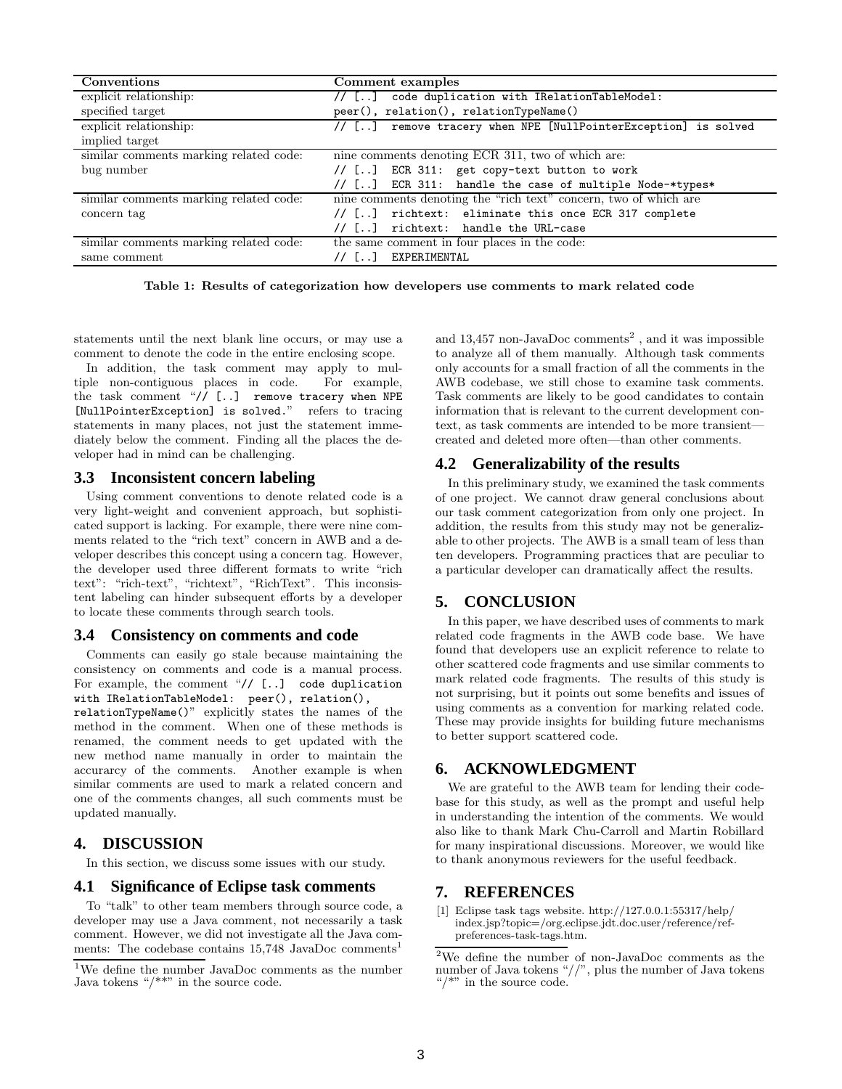| Conventions                            | Comment examples                                                 |
|----------------------------------------|------------------------------------------------------------------|
| explicit relationship:                 | // [] code duplication with IRelationTableModel:                 |
| specified target                       | peer(), relation(), relationTypeName()                           |
| explicit relationship:                 | // [] remove tracery when NPE [NullPointerException] is solved   |
| implied target                         |                                                                  |
| similar comments marking related code: | nine comments denoting ECR 311, two of which are:                |
| bug number                             | // [] ECR 311: get copy-text button to work                      |
|                                        | // [] ECR 311: handle the case of multiple Node-*types*          |
| similar comments marking related code: | nine comments denoting the "rich text" concern, two of which are |
| concern tag                            | // [] richtext: eliminate this once ECR 317 complete             |
|                                        | // [] richtext: handle the URL-case                              |
| similar comments marking related code: | the same comment in four places in the code:                     |
| same comment                           | EXPERIMENTAL                                                     |

Table 1: Results of categorization how developers use comments to mark related code

statements until the next blank line occurs, or may use a comment to denote the code in the entire enclosing scope.

In addition, the task comment may apply to multiple non-contiguous places in code. For example, the task comment "// [..] remove tracery when NPE [NullPointerException] is solved." refers to tracing statements in many places, not just the statement immediately below the comment. Finding all the places the developer had in mind can be challenging.

## **3.3 Inconsistent concern labeling**

Using comment conventions to denote related code is a very light-weight and convenient approach, but sophisticated support is lacking. For example, there were nine comments related to the "rich text" concern in AWB and a developer describes this concept using a concern tag. However, the developer used three different formats to write "rich text": "rich-text", "richtext", "RichText". This inconsistent labeling can hinder subsequent efforts by a developer to locate these comments through search tools.

### **3.4 Consistency on comments and code**

Comments can easily go stale because maintaining the consistency on comments and code is a manual process. For example, the comment "// [..] code duplication with IRelationTableModel: peer(), relation(), relationTypeName()" explicitly states the names of the method in the comment. When one of these methods is renamed, the comment needs to get updated with the new method name manually in order to maintain the accurarcy of the comments. Another example is when similar comments are used to mark a related concern and one of the comments changes, all such comments must be updated manually.

### **4. DISCUSSION**

In this section, we discuss some issues with our study.

### **4.1 Significance of Eclipse task comments**

To "talk" to other team members through source code, a developer may use a Java comment, not necessarily a task comment. However, we did not investigate all the Java comments: The codebase contains 15,748 JavaDoc comments<sup>1</sup>

and 13,457 non-JavaDoc comments<sup>2</sup>, and it was impossible to analyze all of them manually. Although task comments only accounts for a small fraction of all the comments in the AWB codebase, we still chose to examine task comments. Task comments are likely to be good candidates to contain information that is relevant to the current development context, as task comments are intended to be more transientcreated and deleted more often—than other comments.

## **4.2 Generalizability of the results**

In this preliminary study, we examined the task comments of one project. We cannot draw general conclusions about our task comment categorization from only one project. In addition, the results from this study may not be generalizable to other projects. The AWB is a small team of less than ten developers. Programming practices that are peculiar to a particular developer can dramatically affect the results.

## **5. CONCLUSION**

In this paper, we have described uses of comments to mark related code fragments in the AWB code base. We have found that developers use an explicit reference to relate to other scattered code fragments and use similar comments to mark related code fragments. The results of this study is not surprising, but it points out some benefits and issues of using comments as a convention for marking related code. These may provide insights for building future mechanisms to better support scattered code.

## **6. ACKNOWLEDGMENT**

We are grateful to the AWB team for lending their codebase for this study, as well as the prompt and useful help in understanding the intention of the comments. We would also like to thank Mark Chu-Carroll and Martin Robillard for many inspirational discussions. Moreover, we would like to thank anonymous reviewers for the useful feedback.

## **7. REFERENCES**

[1] Eclipse task tags website. http://127.0.0.1:55317/help/ index.jsp?topic=/org.eclipse.jdt.doc.user/reference/refpreferences-task-tags.htm.

 $1$ We define the number JavaDoc comments as the number Java tokens "/\*\*" in the source code.

<sup>&</sup>lt;sup>2</sup>We define the number of non-JavaDoc comments as the number of Java tokens "//", plus the number of Java tokens "/\*" in the source code.